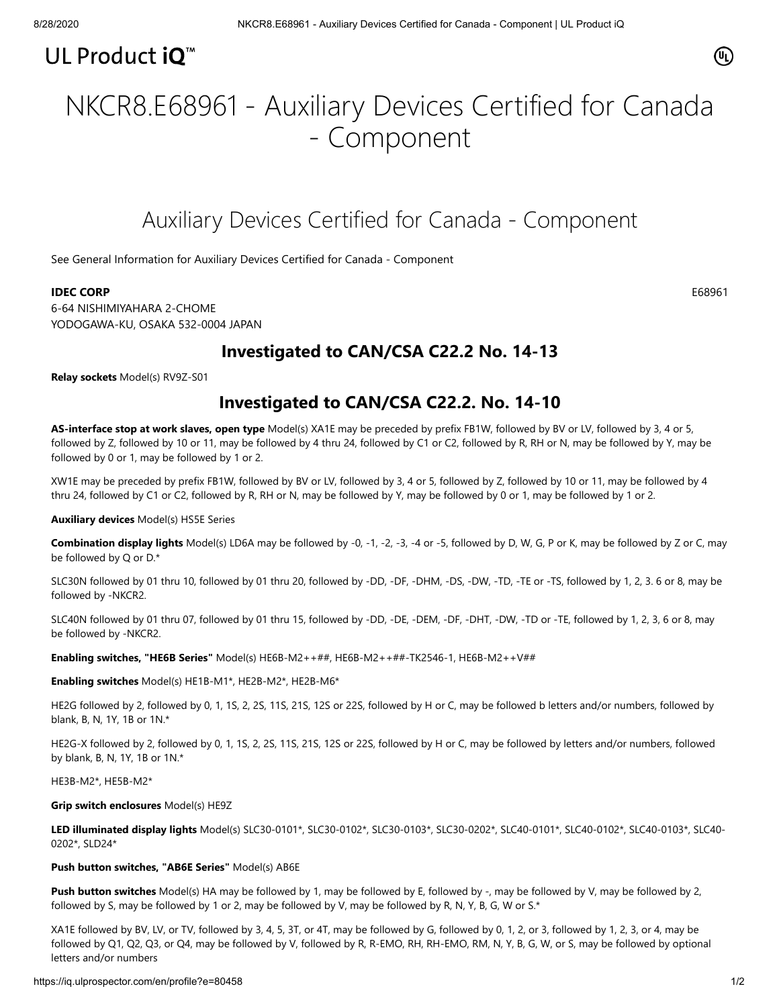## UL Product iQ<sup>™</sup>

### $(\mathbb{q})$

# NKCR8.E68961 - Auxiliary Devices Certified for Canada - Component

## Auxiliary Devices Certified for Canada - Component

[See General Information for Auxiliary Devices Certified for Canada - Component](https://iq.ulprospector.com/cgi-bin/XYV/template/LISEXT/1FRAME/showpage.html?&name=NKCR8.GuideInfo&ccnshorttitle=Auxiliary+Devices+Certified+for+Canada+-+Component&objid=1074211920&cfgid=1073741824&version=versionless&parent_id=1073990251&sequence=1)

#### **IDEC CORP** E68961

6-64 NISHIMIYAHARA 2-CHOME YODOGAWA-KU, OSAKA 532-0004 JAPAN

### **Investigated to CAN/CSA C22.2 No. 14-13**

**Relay sockets** Model(s) RV9Z-S01

### **Investigated to CAN/CSA C22.2. No. 14-10**

**AS-interface stop at work slaves, open type** Model(s) XA1E may be preceded by prefix FB1W, followed by BV or LV, followed by 3, 4 or 5, followed by Z, followed by 10 or 11, may be followed by 4 thru 24, followed by C1 or C2, followed by R, RH or N, may be followed by Y, may be followed by 0 or 1, may be followed by 1 or 2.

XW1E may be preceded by prefix FB1W, followed by BV or LV, followed by 3, 4 or 5, followed by Z, followed by 10 or 11, may be followed by 4 thru 24, followed by C1 or C2, followed by R, RH or N, may be followed by Y, may be followed by 0 or 1, may be followed by 1 or 2.

#### **Auxiliary devices** Model(s) HS5E Series

**Combination display lights** Model(s) LD6A may be followed by -0, -1, -2, -3, -4 or -5, followed by D, W, G, P or K, may be followed by Z or C, may be followed by Q or D.\*

SLC30N followed by 01 thru 10, followed by 01 thru 20, followed by -DD, -DF, -DHM, -DS, -DW, -TD, -TE or -TS, followed by 1, 2, 3. 6 or 8, may be followed by -NKCR2.

SLC40N followed by 01 thru 07, followed by 01 thru 15, followed by -DD, -DE, -DEM, -DF, -DHT, -DW, -TD or -TE, followed by 1, 2, 3, 6 or 8, may be followed by -NKCR2.

**Enabling switches, "HE6B Series"** Model(s) HE6B-M2++##, HE6B-M2++##-TK2546-1, HE6B-M2++V##

**Enabling switches** Model(s) HE1B-M1\*, HE2B-M2\*, HE2B-M6\*

HE2G followed by 2, followed by 0, 1, 1S, 2, 2S, 11S, 21S, 12S or 22S, followed by H or C, may be followed b letters and/or numbers, followed by blank, B, N, 1Y, 1B or 1N.\*

HE2G-X followed by 2, followed by 0, 1, 1S, 2, 2S, 11S, 21S, 12S or 22S, followed by H or C, may be followed by letters and/or numbers, followed by blank, B, N, 1Y, 1B or 1N.\*

HE3B-M2\*, HE5B-M2\*

#### **Grip switch enclosures** Model(s) HE9Z

**LED illuminated display lights** Model(s) SLC30-0101\*, SLC30-0102\*, SLC30-0103\*, SLC30-0202\*, SLC40-0101\*, SLC40-0102\*, SLC40-0103\*, SLC40- 0202\*, SLD24\*

#### **Push button switches, "AB6E Series"** Model(s) AB6E

**Push button switches** Model(s) HA may be followed by 1, may be followed by E, followed by -, may be followed by V, may be followed by 2, followed by S, may be followed by 1 or 2, may be followed by V, may be followed by R, N, Y, B, G, W or S.\*

XA1E followed by BV, LV, or TV, followed by 3, 4, 5, 3T, or 4T, may be followed by G, followed by 0, 1, 2, or 3, followed by 1, 2, 3, or 4, may be followed by Q1, Q2, Q3, or Q4, may be followed by V, followed by R, R-EMO, RH, RH-EMO, RM, N, Y, B, G, W, or S, may be followed by optional letters and/or numbers